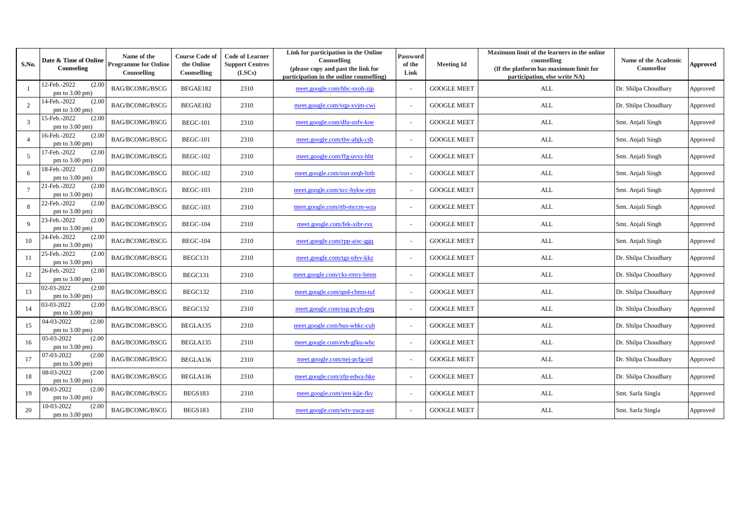| S.No.           | Date & Time of Online<br>Counseling        | Name of the<br><b>Programme for Online</b><br>Counselling | <b>Course Code of</b><br>the Online<br>Counselling | <b>Code of Learner</b><br><b>Support Centres</b><br>(LSCs) | Link for participation in the Online<br>Counselling<br>(please copy and past the link for<br>participation in the online counselling) | Password<br>of the<br>Link | <b>Meeting Id</b>  | Maximum limit of the learners in the online<br>counselling<br>(If the platform has maximum limit for<br>participation, else write NA) | Name of the Academic<br>Counsellor | <b>Approved</b> |
|-----------------|--------------------------------------------|-----------------------------------------------------------|----------------------------------------------------|------------------------------------------------------------|---------------------------------------------------------------------------------------------------------------------------------------|----------------------------|--------------------|---------------------------------------------------------------------------------------------------------------------------------------|------------------------------------|-----------------|
|                 | 12-Feb.-2022<br>(2.00)<br>pm to $3.00$ pm) | <b>BAG/BCOMG/BSCG</b>                                     | BEGAE182                                           | 2310                                                       | meet.google.com/hbc-sxoh-zjp                                                                                                          |                            | <b>GOOGLE MEET</b> | ALL                                                                                                                                   | Dr. Shilpa Choudhary               | Approved        |
| 2               | 4-Feb.-2022<br>(2.00)<br>pm to 3.00 pm)    | <b>BAG/BCOMG/BSCG</b>                                     | BEGAE182                                           | 2310                                                       | meet.google.com/vqp-xvjm-cwi                                                                                                          |                            | <b>GOOGLE MEET</b> | <b>ALL</b>                                                                                                                            | Dr. Shilpa Choudhary               | Approved        |
| 3               | 15-Feb.-2022<br>(2.00)<br>pm to $3.00$ pm) | <b>BAG/BCOMG/BSCG</b>                                     | <b>BEGC-101</b>                                    | 2310                                                       | meet.google.com/dfu-znfv-koe                                                                                                          |                            | <b>GOOGLE MEET</b> | <b>ALL</b>                                                                                                                            | Smt. Anjali Singh                  | Approved        |
| $\overline{4}$  | 16-Feb.-2022<br>(2.00)<br>pm to 3.00 pm)   | <b>BAG/BCOMG/BSCG</b>                                     | <b>BEGC-101</b>                                    | 2310                                                       | meet.google.com/tbv-abjk-csb                                                                                                          |                            | <b>GOOGLE MEET</b> | <b>ALL</b>                                                                                                                            | Smt. Anjali Singh                  | Approved        |
| 5               | 7-Feb.-2022<br>(2.00)<br>pm to 3.00 pm)    | <b>BAG/BCOMG/BSCG</b>                                     | <b>BEGC-102</b>                                    | 2310                                                       | meet.google.com/ffg-uvvz-hbt                                                                                                          |                            | <b>GOOGLE MEET</b> | $\mbox{ALL}$                                                                                                                          | Smt. Anjali Singh                  | Approved        |
| 6               | 18-Feb.-2022<br>(2.00)<br>pm to 3.00 pm)   | BAG/BCOMG/BSCG                                            | <b>BEGC-102</b>                                    | 2310                                                       | meet.google.com/osn-zeqb-hnb                                                                                                          |                            | <b>GOOGLE MEET</b> | ALL                                                                                                                                   | Smt. Anjali Singh                  | Approved        |
| $7\overline{ }$ | 21-Feb.-2022<br>(2.00)<br>pm to $3.00$ pm) | <b>BAG/BCOMG/BSCG</b>                                     | <b>BEGC-103</b>                                    | 2310                                                       | meet.google.com/xcc-hykw-ejm                                                                                                          |                            | <b>GOOGLE MEET</b> | <b>ALL</b>                                                                                                                            | Smt. Anjali Singh                  | Approved        |
| 8               | 22-Feb.-2022<br>(2.00)<br>pm to 3.00 pm)   | <b>BAG/BCOMG/BSCG</b>                                     | <b>BEGC-103</b>                                    | 2310                                                       | meet.google.com/rtb-mccm-wza                                                                                                          |                            | <b>GOOGLE MEET</b> | <b>ALL</b>                                                                                                                            | Smt. Anjali Singh                  | Approved        |
| $\mathbf{q}$    | 23-Feb.-2022<br>(2.00)<br>pm to 3.00 pm)   | <b>BAG/BCOMG/BSCG</b>                                     | <b>BEGC-104</b>                                    | 2310                                                       | meet.google.com/fek-xibr-rsx                                                                                                          |                            | <b>GOOGLE MEET</b> | <b>ALL</b>                                                                                                                            | Smt. Anjali Singh                  | Approved        |
| 10              | 24-Feb.-2022<br>(2.00)<br>pm to $3.00$ pm) | BAG/BCOMG/BSCG                                            | <b>BEGC-104</b>                                    | 2310                                                       | meet.google.com/rpp-aisc-ggq                                                                                                          |                            | <b>GOOGLE MEET</b> | <b>ALL</b>                                                                                                                            | Smt. Anjali Singh                  | Approved        |
| 11              | 25-Feb.-2022<br>(2.00)<br>pm to 3.00 pm)   | <b>BAG/BCOMG/BSCG</b>                                     | BEGC131                                            | 2310                                                       | meet.google.com/tgz-tdyv-kkz                                                                                                          |                            | <b>GOOGLE MEET</b> | <b>ALL</b>                                                                                                                            | Dr. Shilpa Choudhary               | Approved        |
| 12              | 26-Feb.-2022<br>(2.00)<br>pm to 3.00 pm)   | <b>BAG/BCOMG/BSCG</b>                                     | BEGC131                                            | 2310                                                       | meet.google.com/cks-rmry-bmm                                                                                                          |                            | <b>GOOGLE MEET</b> | ALL                                                                                                                                   | Dr. Shilpa Choudhary               | Approved        |
| 13              | 02-03-2022<br>(2.00)<br>pm to $3.00$ pm)   | <b>BAG/BCOMG/BSCG</b>                                     | BEGC132                                            | 2310                                                       | meet.google.com/qnd-cbmn-tuf                                                                                                          |                            | <b>GOOGLE MEET</b> | <b>ALL</b>                                                                                                                            | Dr. Shilpa Choudhary               | Approved        |
| 14              | 03-03-2022<br>(2.00)<br>pm to 3.00 pm)     | <b>BAG/BCOMG/BSCG</b>                                     | BEGC132                                            | 2310                                                       | meet.google.com/ssg-pcyb-geq                                                                                                          |                            | <b>GOOGLE MEET</b> | <b>ALL</b>                                                                                                                            | Dr. Shilpa Choudhary               | Approved        |
| 15              | 04-03-2022<br>(2.00)<br>pm to 3.00 pm)     | <b>BAG/BCOMG/BSCG</b>                                     | BEGLA135                                           | 2310                                                       | meet.google.com/bus-whkc-cuh                                                                                                          |                            | <b>GOOGLE MEET</b> | <b>ALL</b>                                                                                                                            | Dr. Shilpa Choudhary               | Approved        |
| 16              | 05-03-2022<br>(2.00)<br>pm to $3.00$ pm)   | <b>BAG/BCOMG/BSCG</b>                                     | BEGLA135                                           | 2310                                                       | meet.google.com/eyh-gfku-whc                                                                                                          |                            | <b>GOOGLE MEET</b> | <b>ALL</b>                                                                                                                            | Dr. Shilpa Choudhary               | Approved        |
| 17              | 07-03-2022<br>(2.00)<br>pm to 3.00 pm)     | BAG/BCOMG/BSCG                                            | BEGLA136                                           | 2310                                                       | meet.google.com/nej-pcfg-ird                                                                                                          |                            | <b>GOOGLE MEET</b> | <b>ALL</b>                                                                                                                            | Dr. Shilpa Choudhary               | Approved        |
| 18              | 08-03-2022<br>(2.00)<br>pm to 3.00 pm)     | BAG/BCOMG/BSCG                                            | BEGLA136                                           | 2310                                                       | meet.google.com/zfp-edwa-hke                                                                                                          |                            | <b>GOOGLE MEET</b> | ALL                                                                                                                                   | Dr. Shilpa Choudhary               | Approved        |
| 19              | 09-03-2022<br>(2.00)<br>pm to 3.00 pm)     | <b>BAG/BCOMG/BSCG</b>                                     | BEGS183                                            | 2310                                                       | meet.google.com/yen-kjje-fkv                                                                                                          |                            | <b>GOOGLE MEET</b> | $\mbox{ALL}$                                                                                                                          | Smt. Sarla Singla                  | Approved        |
| 20              | 10-03-2022<br>(2.00)<br>pm to $3.00$ pm)   | <b>BAG/BCOMG/BSCG</b>                                     | BEGS183                                            | 2310                                                       | meet.google.com/wtv-yucp-ust                                                                                                          |                            | <b>GOOGLE MEET</b> | ALL                                                                                                                                   | Smt. Sarla Singla                  | Approved        |